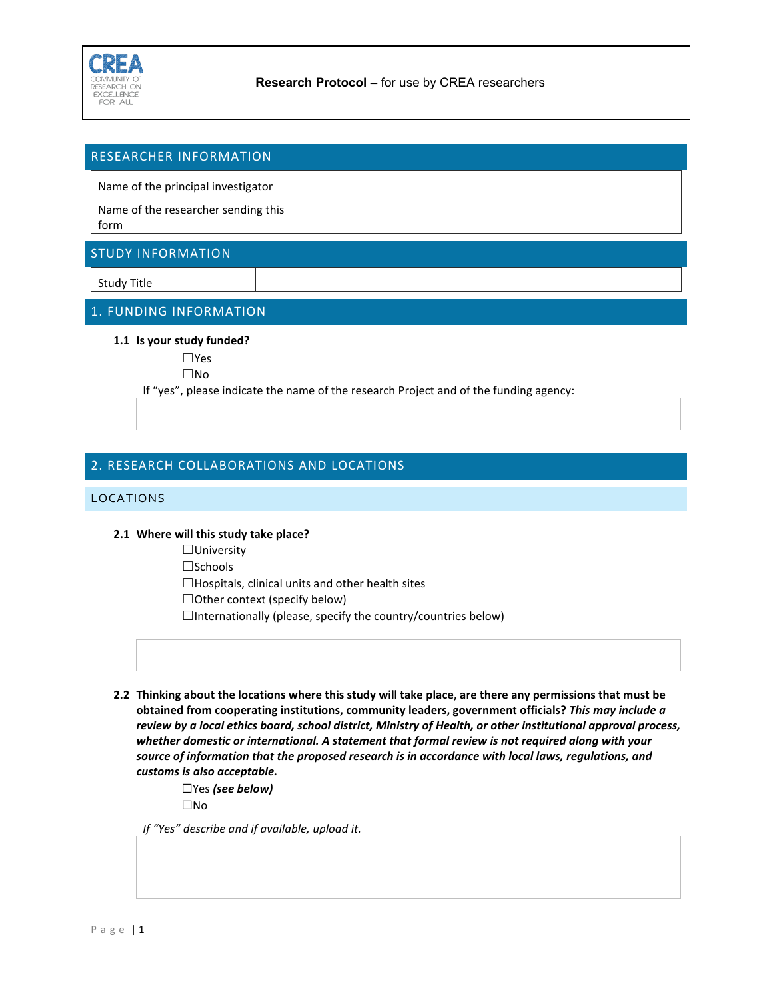

| <b>RESEARCHER INFORMATION</b>               |  |
|---------------------------------------------|--|
| Name of the principal investigator          |  |
| Name of the researcher sending this<br>form |  |

## STUDY INFORMATION

Study Title

# 1. FUNDING INFORMATION

#### **1.1 Is your study funded?**

☐Yes

☐No

If "yes", please indicate the name of the research Project and of the funding agency:

# 2. RESEARCH COLLABORATIONS AND LOCATIONS

#### LOCATIONS

### **2.1 Where will this study take place?**

☐University

☐Schools

 $\Box$ Hospitals, clinical units and other health sites

☐Other context (specify below)

 $\Box$ Internationally (please, specify the country/countries below)

**2.2 Thinking about the locations where this study will take place, are there any permissions that must be obtained from cooperating institutions, community leaders, government officials?** *This may include a review by a local ethics board, school district, Ministry of Health, or other institutional approval process, whether domestic or international. A statement that formal review is not required along with your source of information that the proposed research is in accordance with local laws, regulations, and customs is also acceptable.* 

> ☐Yes *(see below)* ☐No

*If "Yes" describe and if available, upload it.*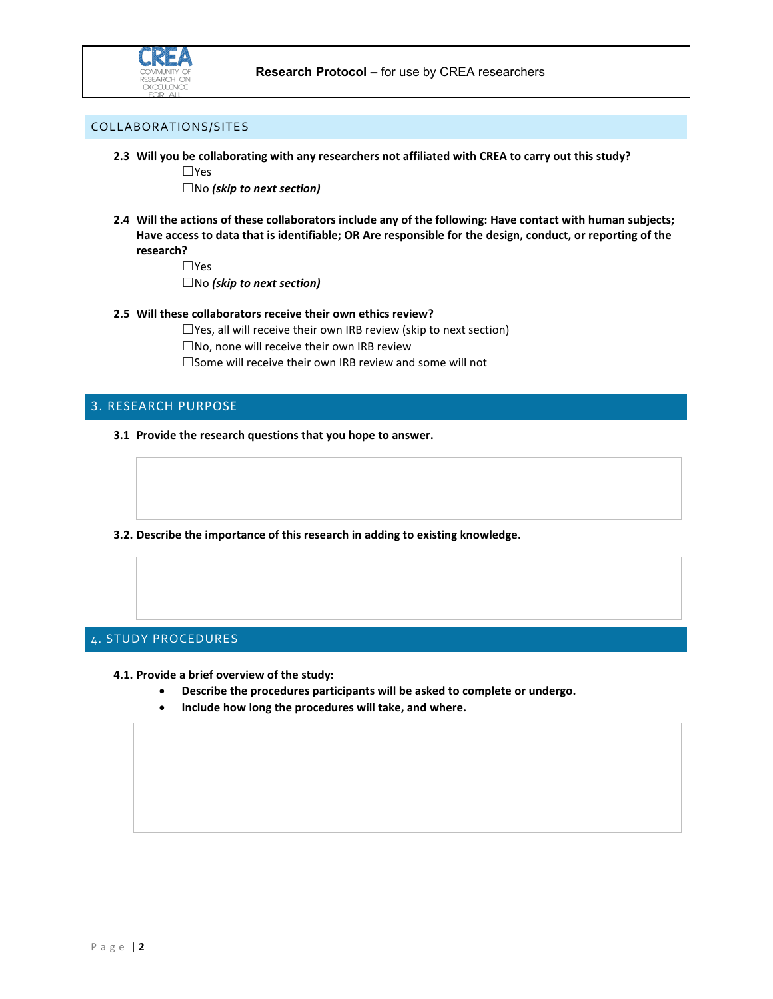

## COLLABORATIONS/SITES

**2.3 Will you be collaborating with any researchers not affiliated with CREA to carry out this study?** 

☐Yes

☐No *(skip to next section)*

**2.4 Will the actions of these collaborators include any of the following: Have contact with human subjects; Have access to data that is identifiable; OR Are responsible for the design, conduct, or reporting of the research?**

☐Yes

☐No *(skip to next section)*

**2.5 Will these collaborators receive their own ethics review?** 

 $\Box$ Yes, all will receive their own IRB review (skip to next section)

☐No, none will receive their own IRB review

 $\square$  Some will receive their own IRB review and some will not

## 3. RESEARCH PURPOSE

- **3.1 Provide the research questions that you hope to answer.**
- **3.2. Describe the importance of this research in adding to existing knowledge.**

# 4. STUDY PROCEDURES

**4.1. Provide a brief overview of the study:** 

- **Describe the procedures participants will be asked to complete or undergo.**
- **Include how long the procedures will take, and where.**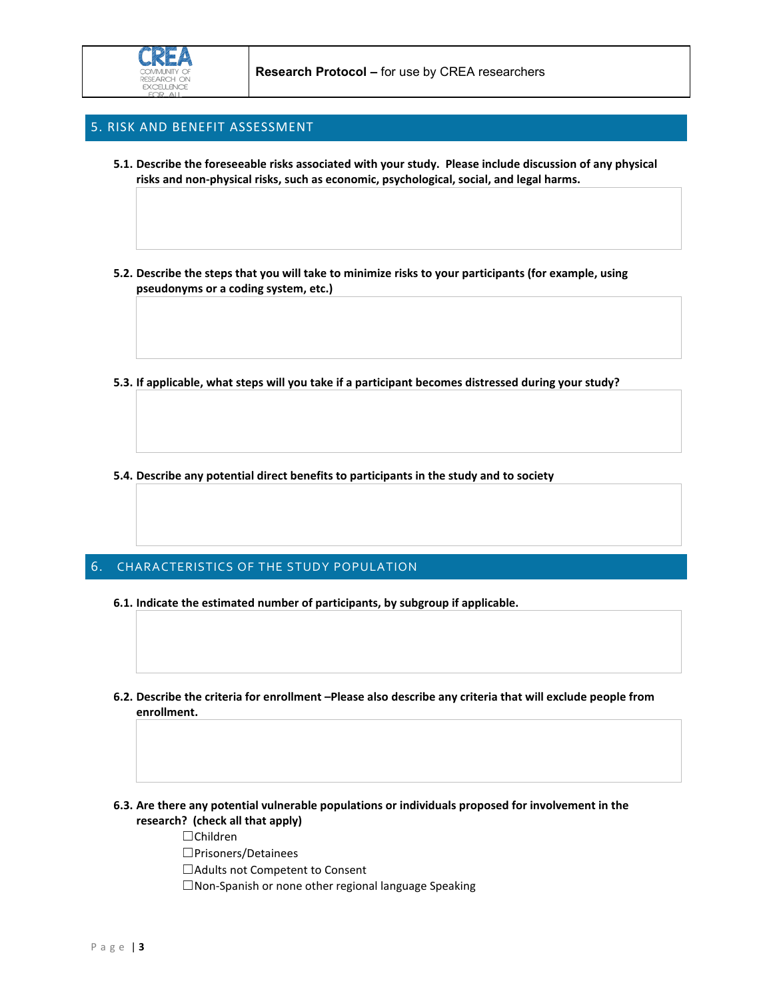

### 5. RISK AND BENEFIT ASSESSMENT

- **5.1. Describe the foreseeable risks associated with your study. Please include discussion of any physical risks and non-physical risks, such as economic, psychological, social, and legal harms.**
- **5.2. Describe the steps that you will take to minimize risks to your participants (for example, using pseudonyms or a coding system, etc.)**
- **5.3. If applicable, what steps will you take if a participant becomes distressed during your study?**
- **5.4. Describe any potential direct benefits to participants in the study and to society**

### 6. CHARACTERISTICS OF THE STUDY POPULATION

- **6.1. Indicate the estimated number of participants, by subgroup if applicable.**
- **6.2. Describe the criteria for enrollment –Please also describe any criteria that will exclude people from enrollment.**
- **6.3. Are there any potential vulnerable populations or individuals proposed for involvement in the research? (check all that apply)** 
	- ☐Children
	- ☐Prisoners/Detainees
	- ☐Adults not Competent to Consent
	- ☐Non-Spanish or none other regional language Speaking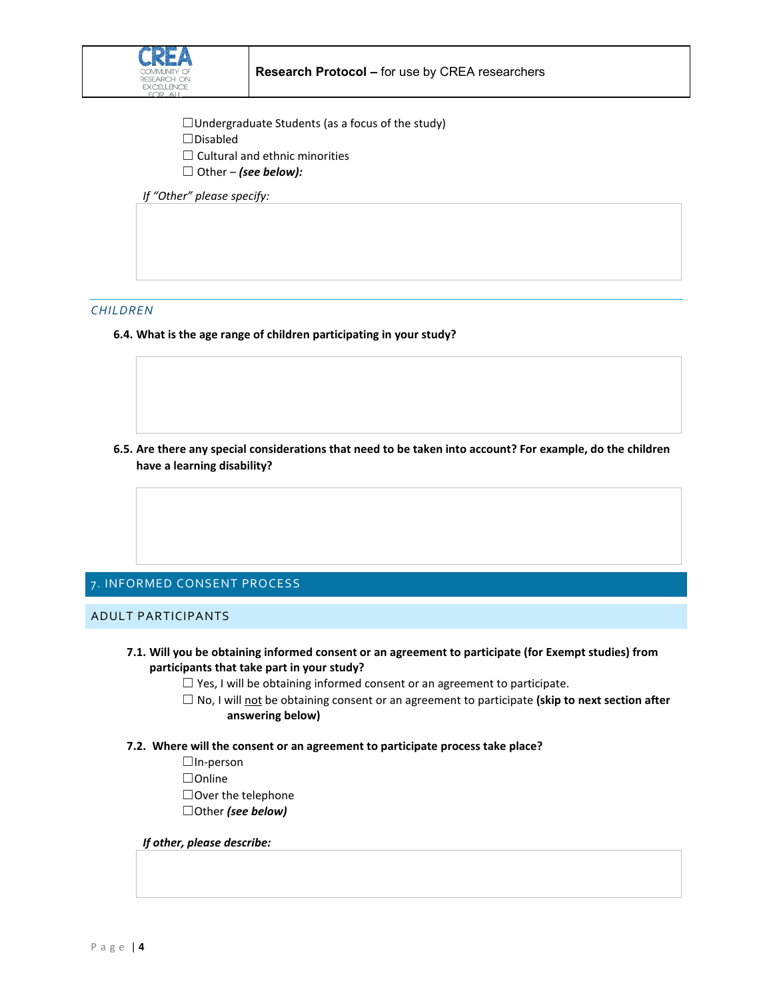

- ☐Undergraduate Students (as a focus of the study)
- ☐Disabled
- $\Box$  Cultural and ethnic minorities
- ☐ Other *(see below):*

*If "Other" please specify:* 

### *CHILDREN*

**6.4. What is the age range of children participating in your study?**

**6.5. Are there any special considerations that need to be taken into account? For example, do the children have a learning disability?**

## 7. INFORMED CONSENT PROCESS

ADULT PARTICIPANTS

- **7.1. Will you be obtaining informed consent or an agreement to participate (for Exempt studies) from participants that take part in your study?**
	- $\Box$  Yes, I will be obtaining informed consent or an agreement to participate.
	- □ No, I will not be obtaining consent or an agreement to participate (skip to next section after  **answering below)**
- **7.2. Where will the consent or an agreement to participate process take place?**
	- ☐In-person
	- ☐Online
	- ☐Over the telephone
	- ☐Other *(see below)*

#### *If other, please describe:*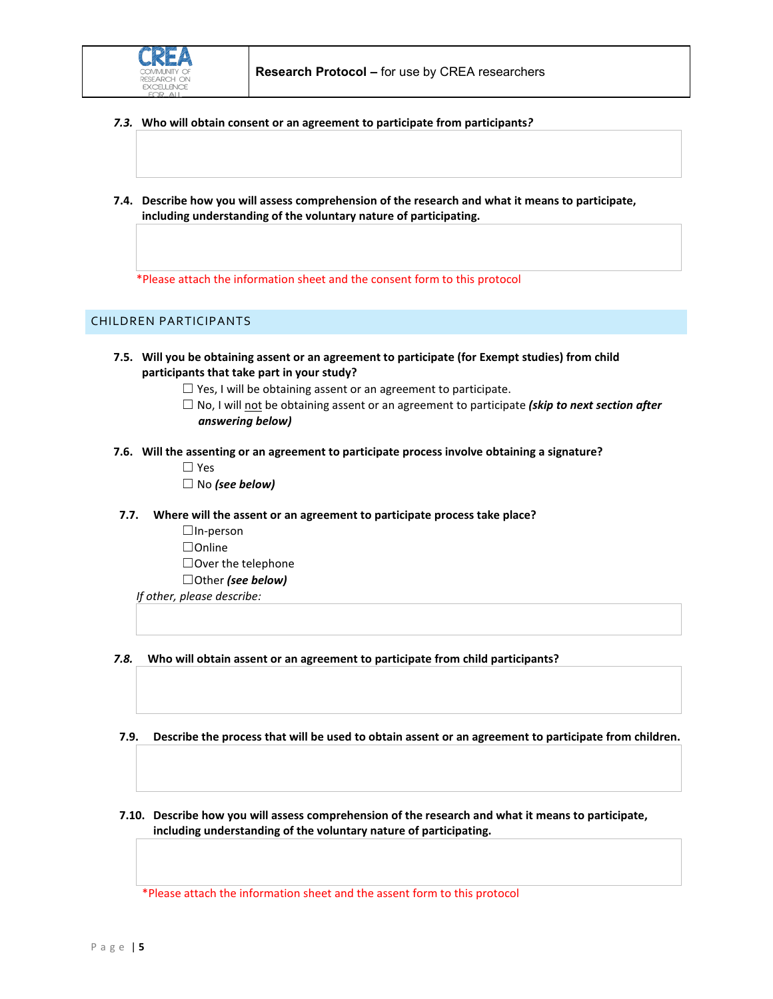- *7.3.* **Who will obtain consent or an agreement to participate from participants***?*
- **7.4. Describe how you will assess comprehension of the research and what it means to participate, including understanding of the voluntary nature of participating.**

\*Please attach the information sheet and the consent form to this protocol

## CHILDREN PARTICIPANTS

- **7.5. Will you be obtaining assent or an agreement to participate (for Exempt studies) from child participants that take part in your study?**
	- $\Box$  Yes, I will be obtaining assent or an agreement to participate.
	- ☐ No, I will not be obtaining assent or an agreement to participate *(skip to next section after answering below)*
- **7.6. Will the assenting or an agreement to participate process involve obtaining a signature?**
	- ☐ Yes
	- ☐ No *(see below)*
- **7.7. Where will the assent or an agreement to participate process take place?**
	- ☐In-person
	- ☐Online
	- ☐Over the telephone
	- ☐Other *(see below)*
	- *If other, please describe:*
- *7.8.* **Who will obtain assent or an agreement to participate from child participants?**
- **7.9. Describe the process that will be used to obtain assent or an agreement to participate from children.**
- **7.10. Describe how you will assess comprehension of the research and what it means to participate, including understanding of the voluntary nature of participating.**

\*Please attach the information sheet and the assent form to this protocol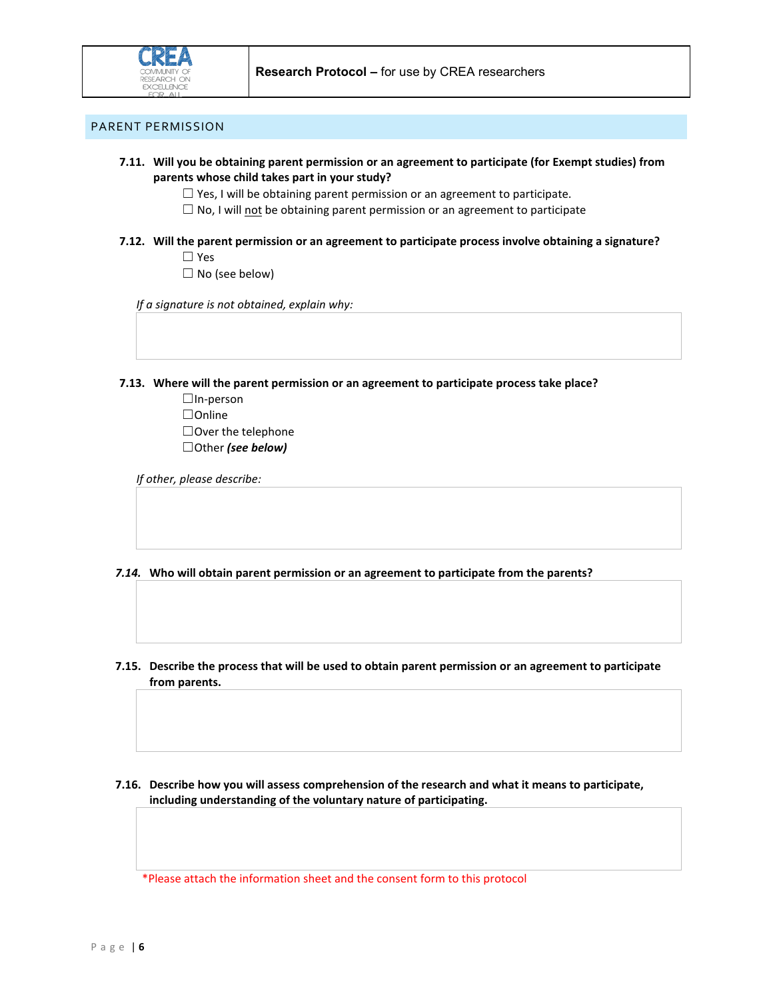

### PARENT PERMISSION

- **7.11. Will you be obtaining parent permission or an agreement to participate (for Exempt studies) from parents whose child takes part in your study?**
	- $\Box$  Yes, I will be obtaining parent permission or an agreement to participate.
	- $\Box$  No, I will not be obtaining parent permission or an agreement to participate
- **7.12. Will the parent permission or an agreement to participate process involve obtaining a signature?** ☐ Yes
	- $\Box$  No (see below)

*If a signature is not obtained, explain why:*

**7.13. Where will the parent permission or an agreement to participate process take place?**

☐In-person ☐Online ☐Over the telephone ☐Other *(see below)*

*If other, please describe:* 

*7.14.* **Who will obtain parent permission or an agreement to participate from the parents?** 

- **7.15. Describe the process that will be used to obtain parent permission or an agreement to participate from parents.**
- **7.16. Describe how you will assess comprehension of the research and what it means to participate, including understanding of the voluntary nature of participating.**

\*Please attach the information sheet and the consent form to this protocol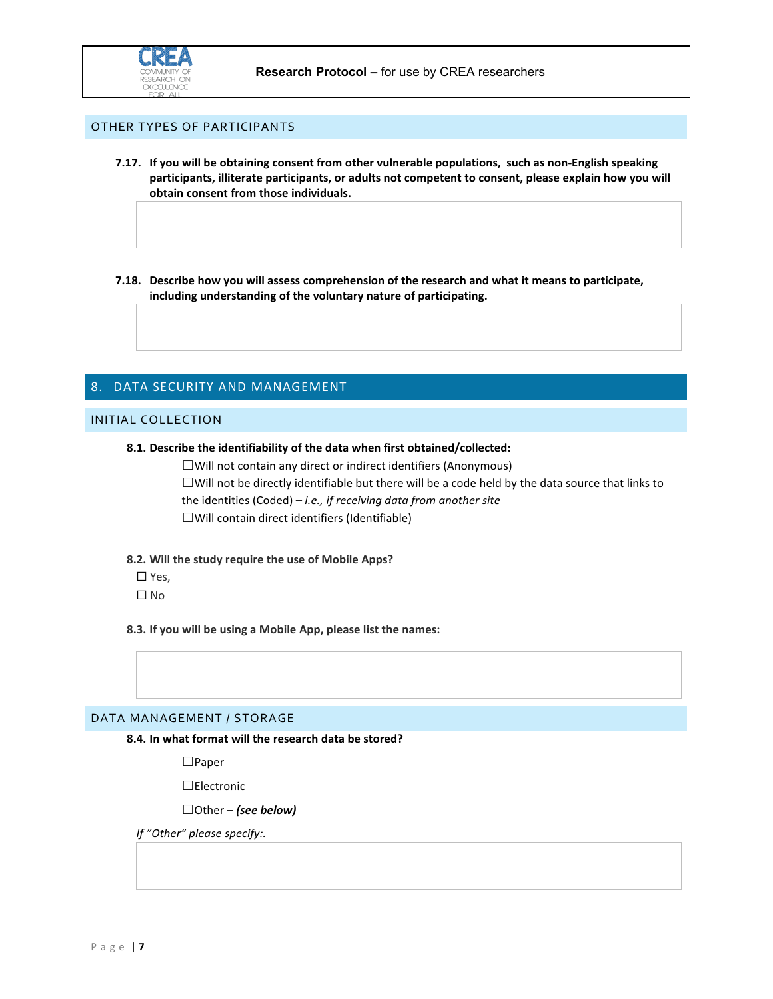

## OTHER TYPES OF PARTICIPANTS

**7.17. If you will be obtaining consent from other vulnerable populations, such as non-English speaking participants, illiterate participants, or adults not competent to consent, please explain how you will obtain consent from those individuals.**

**7.18. Describe how you will assess comprehension of the research and what it means to participate, including understanding of the voluntary nature of participating.**

# 8. DATA SECURITY AND MANAGEMENT

### INITIAL COLLECTION

**8.1. Describe the identifiability of the data when first obtained/collected:**

☐Will not contain any direct or indirect identifiers (Anonymous)

 $\Box$ Will not be directly identifiable but there will be a code held by the data source that links to the identities (Coded) – *i.e., if receiving data from another site* ☐Will contain direct identifiers (Identifiable)

**8.2. Will the study require the use of Mobile Apps?**

☐ Yes,

☐ No

**8.3. If you will be using a Mobile App, please list the names:**

### DATA MANAGEMENT / STORAGE

**8.4. In what format will the research data be stored?**

☐Paper

☐Electronic

☐Other – *(see below)*

*If "Other" please specify:.*